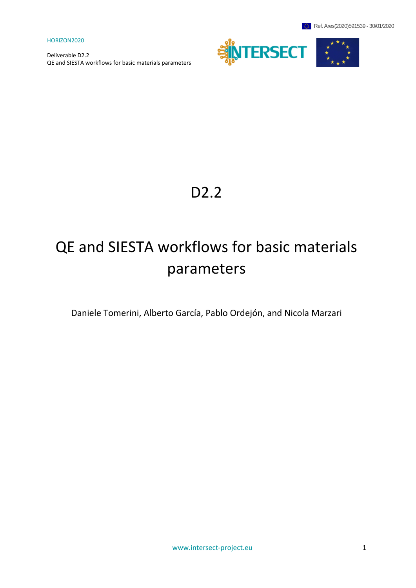

# D2.2

# QE and SIESTA workflows for basic materials parameters

Daniele Tomerini, Alberto García, Pablo Ordejón, and Nicola Marzari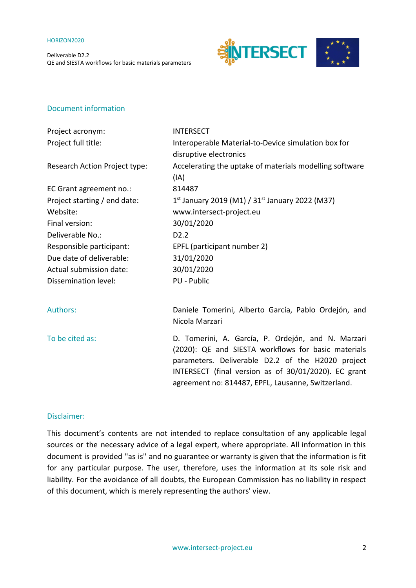Deliverable D2.2 QE and SIESTA workflows for basic materials parameters



## Document information

| Project acronym:              | <b>INTERSECT</b>                                                                                                                                                                                                       |
|-------------------------------|------------------------------------------------------------------------------------------------------------------------------------------------------------------------------------------------------------------------|
| Project full title:           | Interoperable Material-to-Device simulation box for                                                                                                                                                                    |
|                               | disruptive electronics                                                                                                                                                                                                 |
| Research Action Project type: | Accelerating the uptake of materials modelling software                                                                                                                                                                |
|                               | (IA)                                                                                                                                                                                                                   |
| EC Grant agreement no.:       | 814487                                                                                                                                                                                                                 |
| Project starting / end date:  | 1st January 2019 (M1) / $31st$ January 2022 (M37)                                                                                                                                                                      |
| Website:                      | www.intersect-project.eu                                                                                                                                                                                               |
| Final version:                | 30/01/2020                                                                                                                                                                                                             |
| Deliverable No.:              | D <sub>2.2</sub>                                                                                                                                                                                                       |
| Responsible participant:      | EPFL (participant number 2)                                                                                                                                                                                            |
| Due date of deliverable:      | 31/01/2020                                                                                                                                                                                                             |
| Actual submission date:       | 30/01/2020                                                                                                                                                                                                             |
| Dissemination level:          | PU - Public                                                                                                                                                                                                            |
| <b>Authors:</b>               | Daniele Tomerini, Alberto García, Pablo Ordejón, and<br>Nicola Marzari                                                                                                                                                 |
| To be cited as:               | D. Tomerini, A. García, P. Ordejón, and N. Marzari<br>(2020): QE and SIESTA workflows for basic materials<br>parameters. Deliverable D2.2 of the H2020 project<br>INTERSECT (final version as of 30/01/2020). EC grant |

### Disclaimer:

This document's contents are not intended to replace consultation of any applicable legal sources or the necessary advice of a legal expert, where appropriate. All information in this document is provided "as is" and no guarantee or warranty is given that the information is fit for any particular purpose. The user, therefore, uses the information at its sole risk and liability. For the avoidance of all doubts, the European Commission has no liability in respect of this document, which is merely representing the authors' view.

agreement no: 814487, EPFL, Lausanne, Switzerland.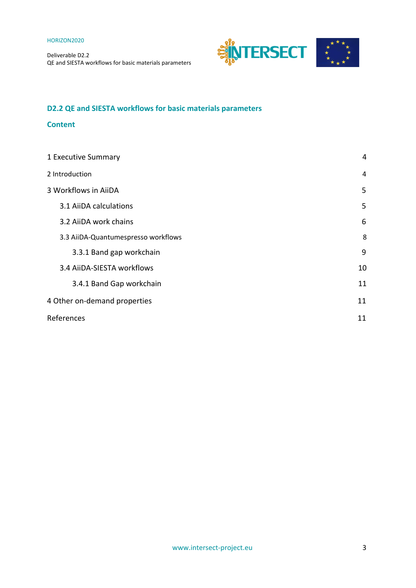

## **D2.2 QE and SIESTA workflows for basic materials parameters**

## **Content**

| 1 Executive Summary                 | 4  |
|-------------------------------------|----|
| 2 Introduction                      | 4  |
| 3 Workflows in AiiDA                | 5  |
| 3.1 AiiDA calculations              | 5  |
| 3.2 AiiDA work chains               | 6  |
| 3.3 AiiDA-Quantumespresso workflows | 8  |
| 3.3.1 Band gap workchain            | 9  |
| 3.4 AiiDA-SIESTA workflows          | 10 |
| 3.4.1 Band Gap workchain            | 11 |
| 4 Other on-demand properties        |    |
| References                          | 11 |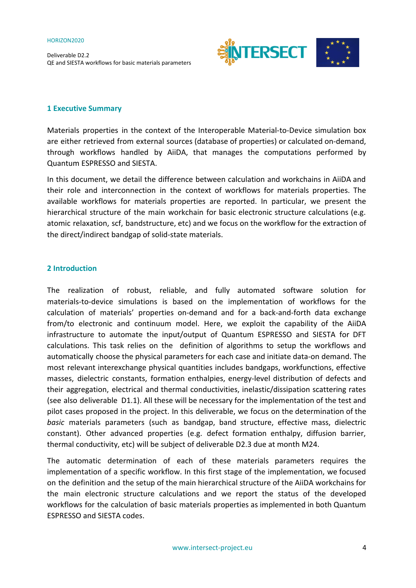Deliverable D2.2 QE and SIESTA workflows for basic materials parameters



## <span id="page-3-0"></span>**1 Executive Summary**

Materials properties in the context of the Interoperable Material-to-Device simulation box are either retrieved from external sources (database of properties) or calculated on-demand, through workflows handled by AiiDA, that manages the computations performed by Quantum ESPRESSO and SIESTA.

In this document, we detail the difference between calculation and workchains in AiiDA and their role and interconnection in the context of workflows for materials properties. The available workflows for materials properties are reported. In particular, we present the hierarchical structure of the main workchain for basic electronic structure calculations (e.g. atomic relaxation, scf, bandstructure, etc) and we focus on the workflow for the extraction of the direct/indirect bandgap of solid-state materials.

## <span id="page-3-1"></span>**2 Introduction**

The realization of robust, reliable, and fully automated software solution for materials-to-device simulations is based on the implementation of workflows for the calculation of materials' properties on-demand and for a back-and-forth data exchange from/to electronic and continuum model. Here, we exploit the capability of the AiiDA infrastructure to automate the input/output of Quantum ESPRESSO and SIESTA for DFT calculations. This task relies on the definition of algorithms to setup the workflows and automatically choose the physical parameters for each case and initiate data-on demand. The most relevant interexchange physical quantities includes bandgaps, workfunctions, effective masses, dielectric constants, formation enthalpies, energy-level distribution of defects and their aggregation, electrical and thermal conductivities, inelastic/dissipation scattering rates (see also deliverable D1.1). All these will be necessary for the implementation of the test and pilot cases proposed in the project. In this deliverable, we focus on the determination of the *basic* materials parameters (such as bandgap, band structure, effective mass, dielectric constant). Other advanced properties (e.g. defect formation enthalpy, diffusion barrier, thermal conductivity, etc) will be subject of deliverable D2.3 due at month M24.

The automatic determination of each of these materials parameters requires the implementation of a specific workflow. In this first stage of the implementation, we focused on the definition and the setup of the main hierarchical structure of the AiiDA workchains for the main electronic structure calculations and we report the status of the developed workflows for the calculation of basic materials properties as implemented in both Quantum ESPRESSO and SIESTA codes.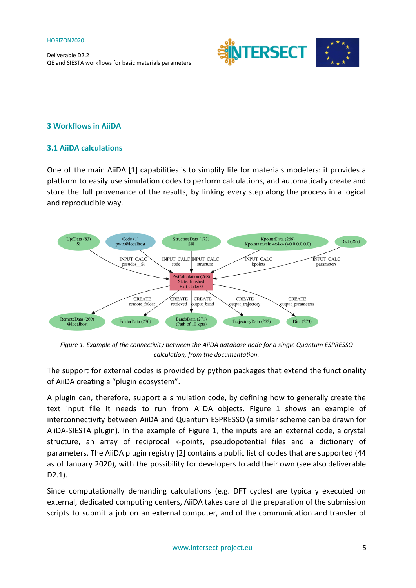

## <span id="page-4-0"></span>**3 Workflows in AiiDA**

## <span id="page-4-1"></span>**3.1 AiiDA calculations**

One of the main AiiDA [1] capabilities is to simplify life for materials modelers: it provides a platform to easily use simulation codes to perform calculations, and automatically create and store the full provenance of the results, by linking every step along the process in a logical and reproducible way.



*Figure 1. Example of the connectivity between the AiiDA database node for a single Quantum ESPRESSO calculation, from the documentation.*

The support for external codes is provided by python packages that extend the functionality of AiiDA creating a "plugin ecosystem".

A plugin can, therefore, support a simulation code, by defining how to generally create the text input file it needs to run from AiiDA objects. Figure 1 shows an example of interconnectivity between AiiDA and Quantum ESPRESSO (a similar scheme can be drawn for AiiDA-SIESTA plugin). In the example of Figure 1, the inputs are an external code, a crystal structure, an array of reciprocal k-points, pseudopotential files and a dictionary of parameters. The AiiDA plugin registry [2] contains a public list of codes that are supported (44 as of January 2020), with the possibility for developers to add their own (see also deliverable D2.1).

Since computationally demanding calculations (e.g. DFT cycles) are typically executed on external, dedicated computing centers, AiiDA takes care of the preparation of the submission scripts to submit a job on an external computer, and of the communication and transfer of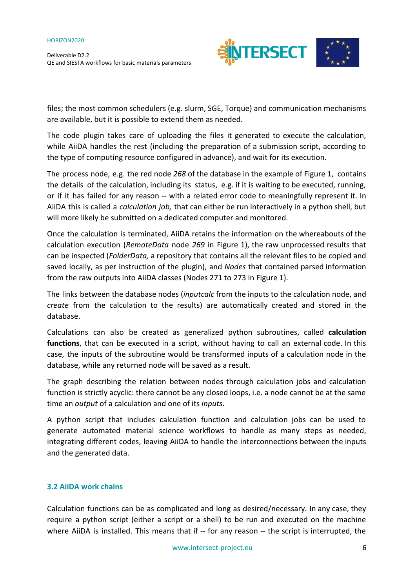Deliverable D2.2 QE and SIESTA workflows for basic materials parameters



files; the most common schedulers (e.g. slurm, SGE, Torque) and communication mechanisms are available, but it is possible to extend them as needed.

The code plugin takes care of uploading the files it generated to execute the calculation, while AiiDA handles the rest (including the preparation of a submission script, according to the type of computing resource configured in advance), and wait for its execution.

The process node, e.g. the red node *268* of the database in the example of Figure 1, contains the details of the calculation, including its status, e.g. if it is waiting to be executed, running, or if it has failed for any reason -- with a related error code to meaningfully represent it. In AiiDA this is called a *calculation job,* that can either be run interactively in a python shell, but will more likely be submitted on a dedicated computer and monitored.

Once the calculation is terminated, AiiDA retains the information on the whereabouts of the calculation execution (*RemoteData* node *269* in Figure 1), the raw unprocessed results that can be inspected (*FolderData,* a repository that contains all the relevant files to be copied and saved locally, as per instruction of the plugin), and *Nodes* that contained parsed information from the raw outputs into AiiDA classes (Nodes 271 to 273 in Figure 1).

The links between the database nodes (*inputcalc* from the inputs to the calculation node, and *create* from the calculation to the results) are automatically created and stored in the database.

Calculations can also be created as generalized python subroutines, called **calculation functions**, that can be executed in a script, without having to call an external code. In this case, the inputs of the subroutine would be transformed inputs of a calculation node in the database, while any returned node will be saved as a result.

The graph describing the relation between nodes through calculation jobs and calculation function is strictly acyclic: there cannot be any closed loops, i.e. a node cannot be at the same time an *output* of a calculation and one of its *inputs*.

A python script that includes calculation function and calculation jobs can be used to generate automated material science workflows to handle as many steps as needed, integrating different codes, leaving AiiDA to handle the interconnections between the inputs and the generated data.

## <span id="page-5-0"></span>**3.2 AiiDA work chains**

Calculation functions can be as complicated and long as desired/necessary. In any case, they require a python script (either a script or a shell) to be run and executed on the machine where AiiDA is installed. This means that if -- for any reason -- the script is interrupted, the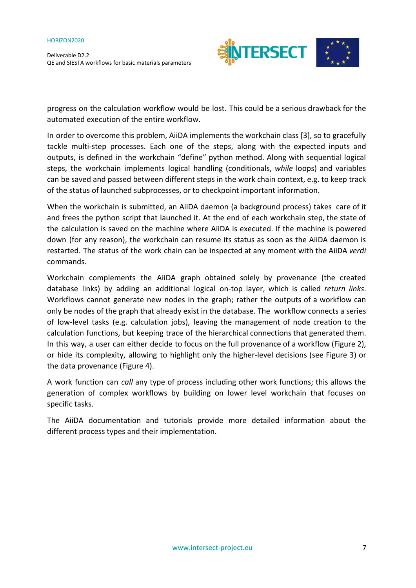Deliverable D2.2 QE and SIESTA workflows for basic materials parameters



progress on the calculation workflow would be lost. This could be a serious drawback for the automated execution of the entire workflow.

In order to overcome this problem, AiiDA implements the workchain class [3], so to gracefully tackle multi-step processes. Each one of the steps, along with the expected inputs and outputs, is defined in the workchain "define" python method. Along with sequential logical steps, the workchain implements logical handling (conditionals, *while* loops) and variables can be saved and passed between different steps in the work chain context, e.g. to keep track of the status of launched subprocesses, or to checkpoint important information.

When the workchain is submitted, an AiiDA daemon (a background process) takes care of it and frees the python script that launched it. At the end of each workchain step, the state of the calculation is saved on the machine where AiiDA is executed. If the machine is powered down (for any reason), the workchain can resume its status as soon as the AiiDA daemon is restarted. The status of the work chain can be inspected at any moment with the AiiDA *verdi* commands.

Workchain complements the AiiDA graph obtained solely by provenance (the created database links) by adding an additional logical on-top layer, which is called *return links*. Workflows cannot generate new nodes in the graph; rather the outputs of a workflow can only be nodes of the graph that already exist in the database. The workflow connects a series of low-level tasks (e.g. calculation jobs), leaving the management of node creation to the calculation functions, but keeping trace of the hierarchical connections that generated them. In this way, a user can either decide to focus on the full provenance of a workflow (Figure 2), or hide its complexity, allowing to highlight only the higher-level decisions (see Figure 3) or the data provenance (Figure 4).

A work function can *call* any type of process including other work functions; this allows the generation of complex workflows by building on lower level workchain that focuses on specific tasks.

The AiiDA documentation and tutorials provide more detailed information about the different process types and their implementation.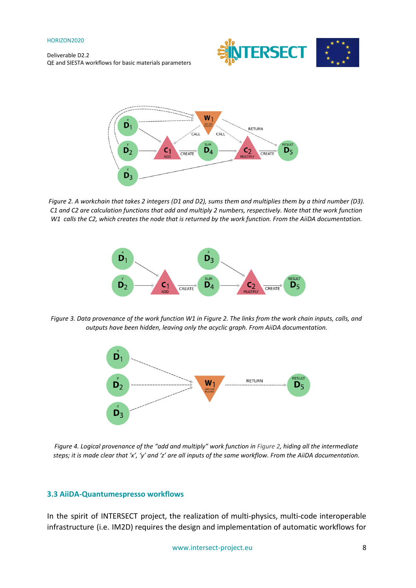Deliverable D2.2 QE and SIESTA workflows for basic materials parameters





Figure 2. A workchain that takes 2 integers (D1 and D2), sums them and multiplies them by a third number (D3). C1 and C2 are calculation functions that add and multiply 2 numbers, respectively. Note that the work function W1 calls the C2, which creates the node that is returned by the work function. From the AiiDA documentation.



Figure 3. Data provenance of the work function W1 in Figure 2. The links from the work chain inputs, calls, and *outputs have been hidden, leaving only the acyclic graph. From AiiDA documentation.*



Figure 4. Logical provenance of the "add and multiply" work function in Figure 2, hiding all the intermediate steps; it is made clear that 'x', 'y' and 'z' are all inputs of the same workflow. From the AiiDA documentation.

## <span id="page-7-0"></span>**3.3 AiiDA-Quantumespresso workflows**

In the spirit of INTERSECT project, the realization of multi-physics, multi-code interoperable infrastructure (i.e. IM2D) requires the design and implementation of automatic workflows for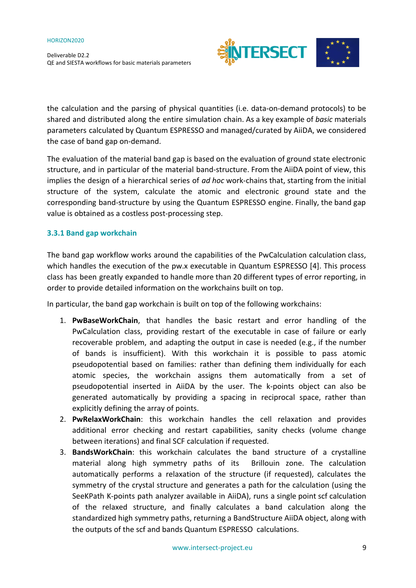Deliverable D2.2 QE and SIESTA workflows for basic materials parameters



the calculation and the parsing of physical quantities (i.e. data-on-demand protocols) to be shared and distributed along the entire simulation chain. As a key example of *basic* materials parameters calculated by Quantum ESPRESSO and managed/curated by AiiDA, we considered the case of band gap on-demand.

The evaluation of the material band gap is based on the evaluation of ground state electronic structure, and in particular of the material band-structure. From the AiiDA point of view, this implies the design of a hierarchical series of *ad hoc* work-chains that, starting from the initial structure of the system, calculate the atomic and electronic ground state and the corresponding band-structure by using the Quantum ESPRESSO engine. Finally, the band gap value is obtained as a costless post-processing step.

## <span id="page-8-0"></span>**3.3.1 Band gap workchain**

The band gap workflow works around the capabilities of the PwCalculation calculation class, which handles the execution of the pw.x executable in Quantum ESPRESSO [4]. This process class has been greatly expanded to handle more than 20 different types of error reporting, in order to provide detailed information on the workchains built on top.

In particular, the band gap workchain is built on top of the following workchains:

- 1. **PwBaseWorkChain**, that handles the basic restart and error handling of the PwCalculation class, providing restart of the executable in case of failure or early recoverable problem, and adapting the output in case is needed (e.g., if the number of bands is insufficient). With this workchain it is possible to pass atomic pseudopotential based on families: rather than defining them individually for each atomic species, the workchain assigns them automatically from a set of pseudopotential inserted in AiiDA by the user. The k-points object can also be generated automatically by providing a spacing in reciprocal space, rather than explicitly defining the array of points.
- 2. **PwRelaxWorkChain**: this workchain handles the cell relaxation and provides additional error checking and restart capabilities, sanity checks (volume change between iterations) and final SCF calculation if requested.
- 3. **BandsWorkChain**: this workchain calculates the band structure of a crystalline material along high symmetry paths of its Brillouin zone. The calculation automatically performs a relaxation of the structure (if requested), calculates the symmetry of the crystal structure and generates a path for the calculation (using the SeeKPath K-points path analyzer available in AiiDA), runs a single point scf calculation of the relaxed structure, and finally calculates a band calculation along the standardized high symmetry paths, returning a BandStructure AiiDA object, along with the outputs of the scf and bands Quantum ESPRESSO calculations.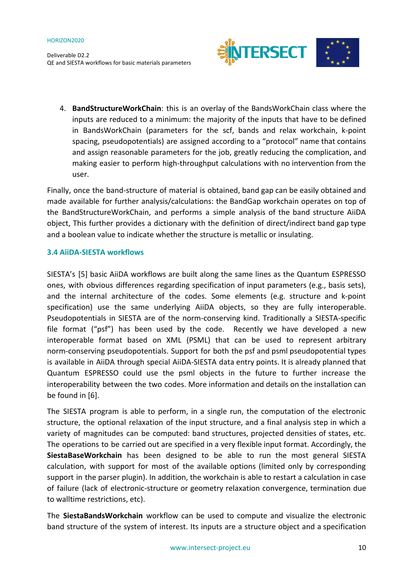

4. **BandStructureWorkChain**: this is an overlay of the BandsWorkChain class where the inputs are reduced to a minimum: the majority of the inputs that have to be defined in BandsWorkChain (parameters for the scf, bands and relax workchain, k-point spacing, pseudopotentials) are assigned according to a "protocol" name that contains and assign reasonable parameters for the job, greatly reducing the complication, and making easier to perform high-throughput calculations with no intervention from the user.

Finally, once the band-structure of material is obtained, band gap can be easily obtained and made available for further analysis/calculations: the BandGap workchain operates on top of the BandStructureWorkChain, and performs a simple analysis of the band structure AiiDA object, This further provides a dictionary with the definition of direct/indirect band gap type and a boolean value to indicate whether the structure is metallic or insulating.

## <span id="page-9-0"></span>**3.4 AiiDA-SIESTA workflows**

SIESTA's [5] basic AiiDA workflows are built along the same lines as the Quantum ESPRESSO ones, with obvious differences regarding specification of input parameters (e.g., basis sets), and the internal architecture of the codes. Some elements (e.g. structure and k-point specification) use the same underlying AiiDA objects, so they are fully interoperable. Pseudopotentials in SIESTA are of the norm-conserving kind. Traditionally a SIESTA-specific file format ("psf") has been used by the code. Recently we have developed a new interoperable format based on XML (PSML) that can be used to represent arbitrary norm-conserving pseudopotentials. Support for both the psf and psml pseudopotential types is available in AiiDA through special AiiDA-SIESTA data entry points. It is already planned that Quantum ESPRESSO could use the psml objects in the future to further increase the interoperability between the two codes. More information and details on the installation can be found in [6].

The SIESTA program is able to perform, in a single run, the computation of the electronic structure, the optional relaxation of the input structure, and a final analysis step in which a variety of magnitudes can be computed: band structures, projected densities of states, etc. The operations to be carried out are specified in a very flexible input format. Accordingly, the **SiestaBaseWorkchain** has been designed to be able to run the most general SIESTA calculation, with support for most of the available options (limited only by corresponding support in the parser plugin). In addition, the workchain is able to restart a calculation in case of failure (lack of electronic-structure or geometry relaxation convergence, termination due to walltime restrictions, etc).

The **SiestaBandsWorkchain** workflow can be used to compute and visualize the electronic band structure of the system of interest. Its inputs are a structure object and a specification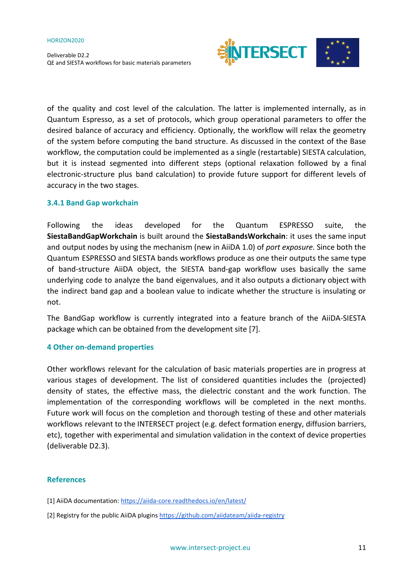Deliverable D2.2 QE and SIESTA workflows for basic materials parameters



of the quality and cost level of the calculation. The latter is implemented internally, as in Quantum Espresso, as a set of protocols, which group operational parameters to offer the desired balance of accuracy and efficiency. Optionally, the workflow will relax the geometry of the system before computing the band structure. As discussed in the context of the Base workflow, the computation could be implemented as a single (restartable) SIESTA calculation, but it is instead segmented into different steps (optional relaxation followed by a final electronic-structure plus band calculation) to provide future support for different levels of accuracy in the two stages.

## <span id="page-10-0"></span>**3.4.1 Band Gap workchain**

Following the ideas developed for the Quantum ESPRESSO suite, the **SiestaBandGapWorkchain** is built around the **SiestaBandsWorkchain**: it uses the same input and output nodes by using the mechanism (new in AiiDA 1.0) of *port exposure.* Since both the Quantum ESPRESSO and SIESTA bands workflows produce as one their outputs the same type of band-structure AiiDA object, the SIESTA band-gap workflow uses basically the same underlying code to analyze the band eigenvalues, and it also outputs a dictionary object with the indirect band gap and a boolean value to indicate whether the structure is insulating or not.

The BandGap workflow is currently integrated into a feature branch of the AiiDA-SIESTA package which can be obtained from the development site [7].

### <span id="page-10-1"></span>**4 Other on-demand properties**

Other workflows relevant for the calculation of basic materials properties are in progress at various stages of development. The list of considered quantities includes the (projected) density of states, the effective mass, the dielectric constant and the work function. The implementation of the corresponding workflows will be completed in the next months. Future work will focus on the completion and thorough testing of these and other materials workflows relevant to the INTERSECT project (e.g. defect formation energy, diffusion barriers, etc), together with experimental and simulation validation in the context of device properties (deliverable D2.3).

## <span id="page-10-2"></span>**References**

- [1] AiiDA documentation: <https://aiida-core.readthedocs.io/en/latest/>
- [2] Registry for the public AiiDA plugins <https://github.com/aiidateam/aiida-registry>